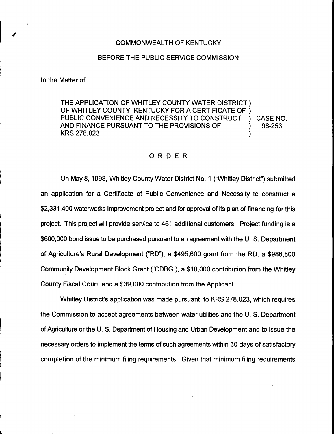## BEFORE THE PUBLIC SERVICE COMMISSION

In the Matter of:

THE APPLICATION OF WHITLEY COUNTY WATER DISTRICT ) OF WHITLEY COUNTY, KENTUCKY FOR <sup>A</sup> CERTIFICATE OF ) PUBLIC CONVENIENCE AND NECESSITY TO CONSTRUCT ) CASE NO.<br>AND FINANCE PURSUANT TO THE PROVISIONS OF  $\qquad \qquad$  ) 98-253 AND FINANCE PURSUANT TO THE PROVISIONS OF KRS 278.023 )

## ORDER

On May 8, 1998, Whitley County Water District No. 1 ("Whitley District") submitted an application for a Certificate of Public Convenience and Necessity to construct a \$2,331,400 waterworks improvement project and for approval of its plan of financing for this project. This project will provide service to 461 additional customers. Project funding is a \$600,000 bond issue to be purchased pursuant to an agreement with the U. S. Department of Agriculture's Rural Development ("RD"), a \$495,600 grant from the RD, a \$986,800 Community Development Block Grant ("CDBG"), a \$10,000 contribution from the Whitley County Fiscal Court, and a \$39,000 contribution from the Applicant.

Whitley District's application was made pursuant to KRS 278.023, which requires the Commission to accept agreements between water utilities and the U. S. Department of Agriculture or the U. S. Department of Housing and Urban Development and to issue the necessary orders to implement the terms of such agreements within 30 days of satisfactory completion of the minimum filing requirements. Given that minimum filing requirements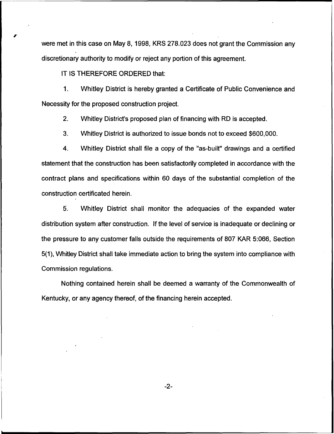were met in this case on May 8, 1998, KRS 278.023 does not grant the Commission any discretionary authority to modify or reject any portion of this agreement.

IT IS THEREFORE ORDERED that:

1. Whitley District is hereby granted a Certificate of Public Convenience and Necessity for the proposed construction project.

2. Whitley District's proposed plan of financing with RD is accepted.

3. Whitley District is authorized to issue bonds not to exceed \$600,000.

4. Whitley District shall file a copy of the "as-built" drawings and a certified statement that the construction has been satisfactorily completed in accordance with the contract plans and specifications within 60 days of the substantial completion of the construction certificated herein.

5. Whitley District shall monitor the adequacies of the expanded water distribution system after construction. If the level of service is inadequate or declining or the pressure to any customer falls outside the requirements of 807 KAR 5:066, Section 5(1), Whitley District shall take immediate action to bring the system into compliance with Commission regulations.

Nothing contained herein shall be deemed a warranty of the Commonwealth of Kentucky, or any agency thereof, of the financing herein accepted.